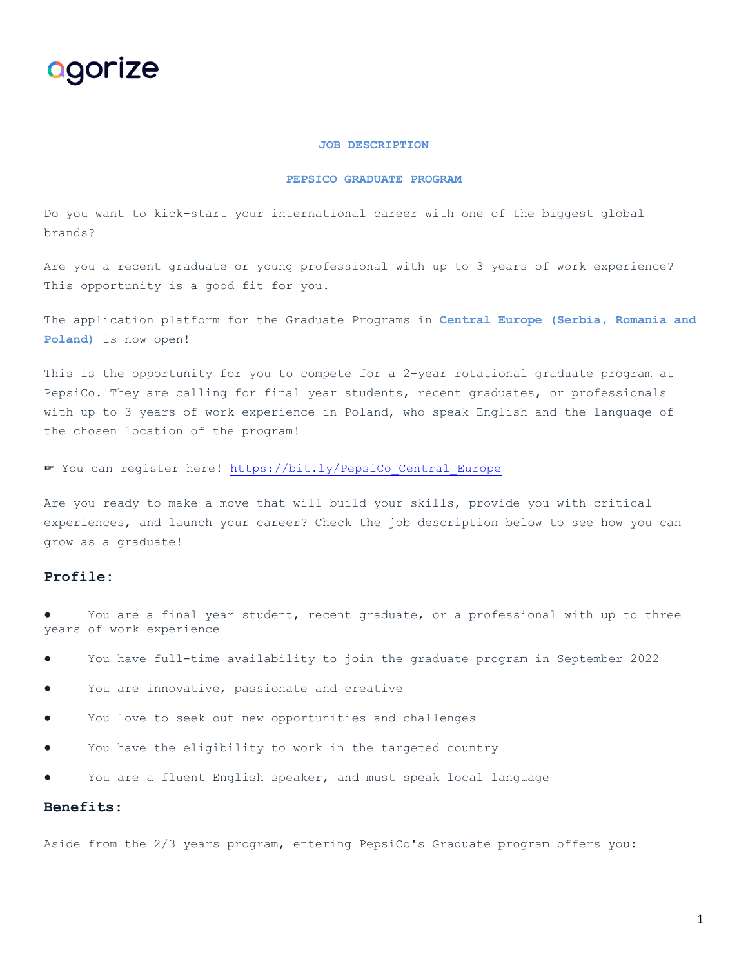

#### **JOB DESCRIPTION**

#### **PEPSICO GRADUATE PROGRAM**

Do you want to kick-start your international career with one of the biggest global brands?

Are you a recent graduate or young professional with up to 3 years of work experience? This opportunity is a good fit for you.

The application platform for the Graduate Programs in **Central Europe (Serbia, Romania and Poland)** is now open!

This is the opportunity for you to compete for a 2-year rotational graduate program at PepsiCo. They are calling for final year students, recent graduates, or professionals with up to 3 years of work experience in Poland, who speak English and the language of the chosen location of the program!

☞ You can register here! [https://bit.ly/PepsiCo\\_Central\\_Europe](https://bit.ly/PepsiCo_Central_Europe)

Are you ready to make a move that will build your skills, provide you with critical experiences, and launch your career? Check the job description below to see how you can grow as a graduate!

## **Profile:**

- You are a final year student, recent graduate, or a professional with up to three years of work experience
- You have full-time availability to join the graduate program in September 2022
- You are innovative, passionate and creative
- You love to seek out new opportunities and challenges
- You have the eligibility to work in the targeted country
- You are a fluent English speaker, and must speak local language

## **Benefits:**

Aside from the 2/3 years program, entering PepsiCo's Graduate program offers you: